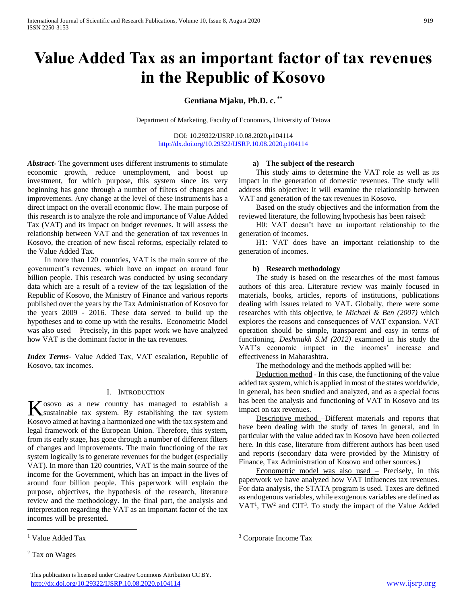# **Value Added Tax as an important factor of tax revenues in the Republic of Kosovo**

# **Gentiana Mjaku, Ph.D. c. \*\***

Department of Marketing, Faculty of Economics, University of Tetova

DOI: 10.29322/IJSRP.10.08.2020.p104114 <http://dx.doi.org/10.29322/IJSRP.10.08.2020.p104114>

*Abstract***-** The government uses different instruments to stimulate economic growth, reduce unemployment, and boost up investment, for which purpose, this system since its very beginning has gone through a number of filters of changes and improvements. Any change at the level of these instruments has a direct impact on the overall economic flow. The main purpose of this research is to analyze the role and importance of Value Added Tax (VAT) and its impact on budget revenues. It will assess the relationship between VAT and the generation of tax revenues in Kosovo, the creation of new fiscal reforms, especially related to the Value Added Tax.

 In more than 120 countries, VAT is the main source of the government's revenues, which have an impact on around four billion people. This research was conducted by using secondary data which are a result of a review of the tax legislation of the Republic of Kosovo, the Ministry of Finance and various reports published over the years by the Tax Administration of Kosovo for the years 2009 - 2016. These data served to build up the hypotheses and to come up with the results. Econometric Model was also used – Precisely, in this paper work we have analyzed how VAT is the dominant factor in the tax revenues.

*Index Terms*- Value Added Tax, VAT escalation, Republic of Kosovo, tax incomes.

#### I. INTRODUCTION

 $\mathbf z$  osovo as a new country has managed to establish a K osovo as a new country has managed to establish a system. By establishing the tax system Kosovo aimed at having a harmonized one with the tax system and legal framework of the European Union. Therefore, this system, from its early stage, has gone through a number of different filters of changes and improvements. The main functioning of the tax system logically is to generate revenues for the budget (especially VAT). In more than 120 countries, VAT is the main source of the income for the Government, which has an impact in the lives of around four billion people. This paperwork will explain the purpose, objectives, the hypothesis of the research, literature review and the methodology. In the final part, the analysis and interpretation regarding the VAT as an important factor of the tax incomes will be presented.

 $\overline{a}$ 

## This publication is licensed under Creative Commons Attribution CC BY. <http://dx.doi.org/10.29322/IJSRP.10.08.2020.p104114> [www.ijsrp.org](http://ijsrp.org/)

#### **a) The subject of the research**

 This study aims to determine the VAT role as well as its impact in the generation of domestic revenues. The study will address this objective: It will examine the relationship between VAT and generation of the tax revenues in Kosovo.

 Based on the study objectives and the information from the reviewed literature, the following hypothesis has been raised:

 H0: VAT doesn't have an important relationship to the generation of incomes.

 H1: VAT does have an important relationship to the generation of incomes.

## **b) Research methodology**

 The study is based on the researches of the most famous authors of this area. Literature review was mainly focused in materials, books, articles, reports of institutions, publications dealing with issues related to VAT. Globally, there were some researches with this objective, ie *Michael & Ben (2007)* which explores the reasons and consequences of VAT expansion. VAT operation should be simple, transparent and easy in terms of functioning. *Deshmukh S.M (2012)* examined in his study the VAT's economic impact in the incomes' increase and effectiveness in Maharashtra.

The methodology and the methods applied will be:

 Deduction method - In this case, the functioning of the value added tax system, which is applied in most of the states worldwide, in general, has been studied and analyzed, and as a special focus has been the analysis and functioning of VAT in Kosovo and its impact on tax revenues.

 Descriptive method –Different materials and reports that have been dealing with the study of taxes in general, and in particular with the value added tax in Kosovo have been collected here. In this case, literature from different authors has been used and reports (secondary data were provided by the Ministry of Finance, Tax Administration of Kosovo and other sources.)

 Econometric model was also used – Precisely, in this paperwork we have analyzed how VAT influences tax revenues. For data analysis, the STATA program is used. Taxes are defined as endogenous variables, while exogenous variables are defined as VAT<sup>1</sup>, TW<sup>2</sup> and CIT<sup>3</sup>. To study the impact of the Value Added

<sup>&</sup>lt;sup>1</sup> Value Added Tax

<sup>2</sup> Tax on Wages

<sup>3</sup> Corporate Income Tax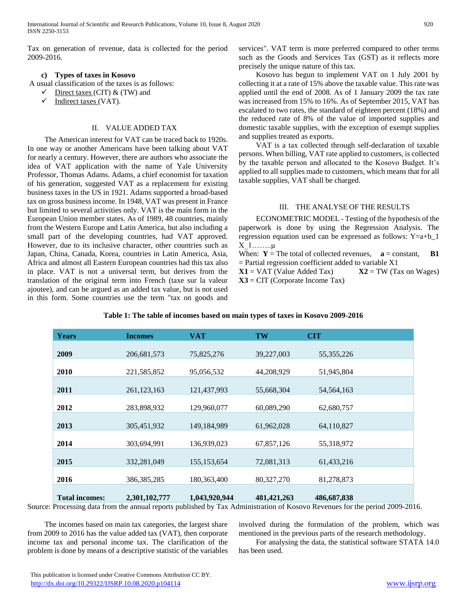Tax on generation of revenue, data is collected for the period 2009-2016.

# **c) Types of taxes in Kosovo**

A usual classification of the taxes is as follows:

- Direct taxes (CIT) & (TW) and
- $\checkmark$  Indirect taxes (VAT).

# II. VALUE ADDED TAX

 The American interest for VAT can be traced back to 1920s. In one way or another Americans have been talking about VAT for nearly a century. However, there are authors who associate the idea of VAT application with the name of Yale University Professor, Thomas Adams. Adams, a chief economist for taxation of his generation, suggested VAT as a replacement for existing business taxes in the US in 1921. Adams supported a broad-based tax on gross business income. In 1948, VAT was present in France but limited to several activities only. VAT is the main form in the European Union member states. As of 1989, 48 countries, mainly from the Western Europe and Latin America, but also including a small part of the developing countries, had VAT approved. However, due to its inclusive character, other countries such as Japan, China, Canada, Korea, countries in Latin America, Asia, Africa and almost all Eastern European countries had this tax also in place. VAT is not a universal term, but derives from the translation of the original term into French (taxe sur la valeur ajoutee), and can be argued as an added tax value, but is not used in this form. Some countries use the term "tax on goods and services". VAT term is more preferred compared to other terms such as the Goods and Services Tax (GST) as it reflects more precisely the unique nature of this tax.

 Kosovo has begun to implement VAT on 1 July 2001 by collecting it at a rate of 15% above the taxable value. This rate was applied until the end of 2008. As of 1 January 2009 the tax rate was increased from 15% to 16%. As of September 2015, VAT has escalated to two rates, the standard of eighteen percent (18%) and the reduced rate of 8% of the value of imported supplies and domestic taxable supplies, with the exception of exempt supplies and supplies treated as exports.

 VAT is a tax collected through self-declaration of taxable persons. When billing, VAT rate applied to customers, is collected by the taxable person and allocated to the Kosovo Budget. It's applied to all supplies made to customers, which means that for all taxable supplies, VAT shall be charged.

## III. THE ANALYSE OF THE RESULTS

 ECONOMETRIC MODEL - Testing of the hypothesis of the paperwork is done by using the Regression Analysis. The regression equation used can be expressed as follows: Y=a+b\_1 X\_1……..μ

When:  $Y = The total of collected revenues, a = constant, B1$  $=$  Partial regression coefficient added to variable X1

 $X1 = VAT$  (Value Added Tax)  $X2 = TW$  (Tax on Wages) **X3** = CIT (Corporate Income Tax)

| <b>Years</b>          | <b>Incomes</b> | <b>VAT</b>    | <b>TW</b>     | <b>CIT</b>   |
|-----------------------|----------------|---------------|---------------|--------------|
|                       |                |               |               |              |
| 2009                  | 206, 681, 573  | 75,825,276    | 39,227,003    | 55, 355, 226 |
|                       |                |               |               |              |
| 2010                  | 221,585,852    | 95,056,532    | 44,208,929    | 51,945,804   |
| 2011                  | 261, 123, 163  | 121,437,993   | 55,668,304    | 54, 564, 163 |
| 2012                  | 283,898,932    | 129,960,077   | 60,089,290    | 62,680,757   |
| 2013                  | 305,451,932    | 149, 184, 989 | 61,962,028    | 64,110,827   |
| 2014                  | 303,694,991    | 136,939,023   | 67,857,126    | 55,318,972   |
| 2015                  | 332,281,049    | 155, 153, 654 | 72,081,313    | 61,433,216   |
| 2016                  | 386,385,285    | 180, 363, 400 | 80,327,270    | 81,278,873   |
| <b>Total incomes:</b> | 2,301,102,777  | 1,043,920,944 | 481, 421, 263 | 486,687,838  |

## **Table 1: The table of incomes based on main types of taxes in Kosovo 2009-2016**

Source: Processing data from the annual reports published by Tax Administration of Kosovo Revenues for the period 2009-2016.

 The incomes based on main tax categories, the largest share from 2009 to 2016 has the value added tax (VAT), then corporate income tax and personal income tax. The clarification of the problem is done by means of a descriptive statistic of the variables involved during the formulation of the problem, which was mentioned in the previous parts of the research methodology.

 For analysing the data, the statistical software STATA 14.0 has been used.